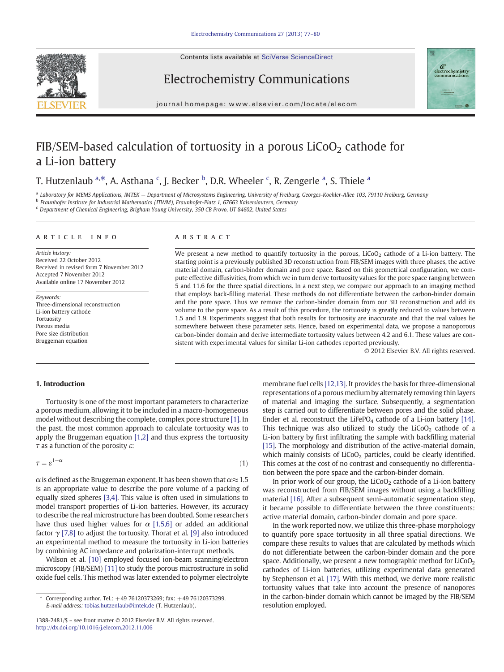Contents lists available at SciVerse ScienceDirect

<span id="page-0-0"></span>





journal homepage: www.elsevier.com/locate/elecom

# FIB/SEM-based calculation of tortuosity in a porous  $LiCoO<sub>2</sub>$  cathode for a Li-ion battery

## T. Hutzenlaub <sup>a,\*</sup>, A. Asthana <sup>c</sup>, J. Becker <sup>b</sup>, D.R. Wheeler <sup>c</sup>, R. Zengerle <sup>a</sup>, S. Thiele <sup>a</sup>

a Laboratory for MEMS Applications, IMTEK - Department of Microsystems Engineering, University of Freiburg, Georges-Koehler-Allee 103, 79110 Freiburg, Germany

<sup>b</sup> Fraunhofer Institute for Industrial Mathematics (ITWM), Fraunhofer-Platz 1, 67663 Kaiserslautern, Germany

<sup>c</sup> Department of Chemical Engineering, Brigham Young University, 350 CB Provo, UT 84602, United States

#### article info abstract

Article history: Received 22 October 2012 Received in revised form 7 November 2012 Accepted 7 November 2012 Available online 17 November 2012

Keywords: Three-dimensional reconstruction Li-ion battery cathode Tortuosity Porous media Pore size distribution Bruggeman equation

We present a new method to quantify tortuosity in the porous, LiCoO<sub>2</sub> cathode of a Li-ion battery. The starting point is a previously published 3D reconstruction from FIB/SEM images with three phases, the active material domain, carbon-binder domain and pore space. Based on this geometrical configuration, we compute effective diffusivities, from which we in turn derive tortuosity values for the pore space ranging between 5 and 11.6 for the three spatial directions. In a next step, we compare our approach to an imaging method that employs back-filling material. These methods do not differentiate between the carbon-binder domain and the pore space. Thus we remove the carbon-binder domain from our 3D reconstruction and add its volume to the pore space. As a result of this procedure, the tortuosity is greatly reduced to values between 1.5 and 1.9. Experiments suggest that both results for tortuosity are inaccurate and that the real values lie somewhere between these parameter sets. Hence, based on experimental data, we propose a nanoporous carbon-binder domain and derive intermediate tortuosity values between 4.2 and 6.1. These values are consistent with experimental values for similar Li-ion cathodes reported previously.

© 2012 Elsevier B.V. All rights reserved.

#### 1. Introduction

Tortuosity is one of the most important parameters to characterize a porous medium, allowing it to be included in a macro-homogeneous model without describing the complete, complex pore structure [\[1\].](#page-2-0) In the past, the most common approach to calculate tortuosity was to apply the Bruggeman equation [\[1,2\]](#page-2-0) and thus express the tortuosity  $\tau$  as a function of the porosity  $\varepsilon$ :

$$
\tau = \varepsilon^{1-\alpha} \tag{1}
$$

 $\alpha$  is defined as the Bruggeman exponent. It has been shown that  $\alpha \approx 1.5$ is an appropriate value to describe the pore volume of a packing of equally sized spheres [\[3,4\].](#page-2-0) This value is often used in simulations to model transport properties of Li-ion batteries. However, its accuracy to describe the real microstructure has been doubted. Some researchers have thus used higher values for  $\alpha$  [\[1,5,6\]](#page-2-0) or added an additional factor  $\gamma$  [\[7,8\]](#page-2-0) to adjust the tortuosity. Thorat et al. [\[9\]](#page-2-0) also introduced an experimental method to measure the tortuosity in Li-ion batteries by combining AC impedance and polarization-interrupt methods.

Wilson et al. [\[10\]](#page-2-0) employed focused ion-beam scanning/electron microscopy (FIB/SEM) [\[11\]](#page-2-0) to study the porous microstructure in solid oxide fuel cells. This method was later extended to polymer electrolyte membrane fuel cells [\[12,13\].](#page-2-0) It provides the basis for three-dimensional representations of a porous medium by alternately removing thin layers of material and imaging the surface. Subsequently, a segmentation step is carried out to differentiate between pores and the solid phase. Ender et al. reconstruct the LiFePO<sub>4</sub> cathode of a Li-ion battery [\[14\].](#page-3-0) This technique was also utilized to study the  $LiCoO<sub>2</sub>$  cathode of a Li-ion battery by first infiltrating the sample with backfilling material [\[15\].](#page-3-0) The morphology and distribution of the active-material domain, which mainly consists of  $LiCoO<sub>2</sub>$  particles, could be clearly identified. This comes at the cost of no contrast and consequently no differentiation between the pore space and the carbon-binder domain.

In prior work of our group, the  $LiCoO<sub>2</sub>$  cathode of a Li-ion battery was reconstructed from FIB/SEM images without using a backfilling material [\[16\].](#page-3-0) After a subsequent semi-automatic segmentation step, it became possible to differentiate between the three constituents: active material domain, carbon-binder domain and pore space.

In the work reported now, we utilize this three-phase morphology to quantify pore space tortuosity in all three spatial directions. We compare these results to values that are calculated by methods which do not differentiate between the carbon-binder domain and the pore space. Additionally, we present a new tomographic method for  $LiCoO<sub>2</sub>$ cathodes of Li-ion batteries, utilizing experimental data generated by Stephenson et al. [\[17\].](#page-3-0) With this method, we derive more realistic tortuosity values that take into account the presence of nanopores in the carbon-binder domain which cannot be imaged by the FIB/SEM resolution employed.

<sup>⁎</sup> Corresponding author. Tel.: +49 76120373269; fax: +49 76120373299. E-mail address: [tobias.hutzenlaub@imtek.de](mailto:tobias.hutzenlaub@imtek.de) (T. Hutzenlaub).

<sup>1388-2481/\$</sup> – see front matter © 2012 Elsevier B.V. All rights reserved. <http://dx.doi.org/10.1016/j.elecom.2012.11.006>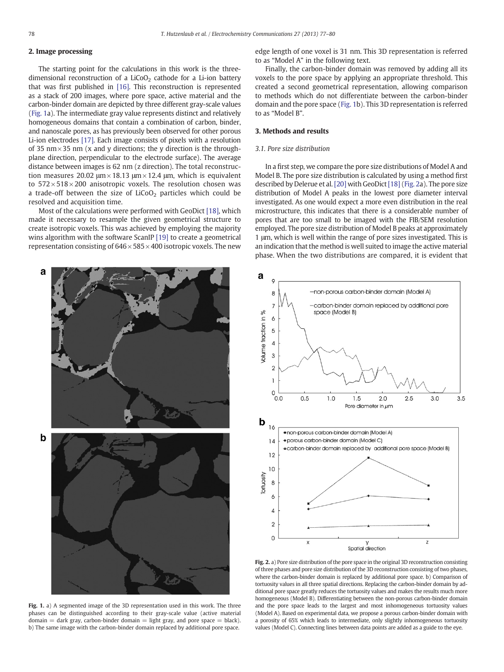### <span id="page-1-0"></span>2. Image processing

The starting point for the calculations in this work is the threedimensional reconstruction of a LiCoO<sub>2</sub> cathode for a Li-ion battery that was first published in [\[16\]](#page-3-0). This reconstruction is represented as a stack of 200 images, where pore space, active material and the carbon-binder domain are depicted by three different gray-scale values (Fig. 1a). The intermediate gray value represents distinct and relatively homogeneous domains that contain a combination of carbon, binder, and nanoscale pores, as has previously been observed for other porous Li-ion electrodes [\[17\]](#page-3-0). Each image consists of pixels with a resolution of 35 nm $\times$ 35 nm (x and y directions; the y direction is the throughplane direction, perpendicular to the electrode surface). The average distance between images is 62 nm (z direction). The total reconstruction measures 20.02  $\mu$ m × 18.13  $\mu$ m × 12.4  $\mu$ m, which is equivalent to  $572 \times 518 \times 200$  anisotropic voxels. The resolution chosen was a trade-off between the size of  $LiCoO<sub>2</sub>$  particles which could be resolved and acquisition time.

Most of the calculations were performed with GeoDict [\[18\],](#page-3-0) which made it necessary to resample the given geometrical structure to create isotropic voxels. This was achieved by employing the majority wins algorithm with the software ScanIP [\[19\]](#page-3-0) to create a geometrical representation consisting of  $646 \times 585 \times 400$  isotropic voxels. The new edge length of one voxel is 31 nm. This 3D representation is referred to as "Model A" in the following text.

Finally, the carbon-binder domain was removed by adding all its voxels to the pore space by applying an appropriate threshold. This created a second geometrical representation, allowing comparison to methods which do not differentiate between the carbon-binder domain and the pore space (Fig. 1b). This 3D representation is referred to as "Model B".

#### 3. Methods and results

#### 3.1. Pore size distribution

In a first step, we compare the pore size distributions of Model A and Model B. The pore size distribution is calculated by using a method first described by Delerue et al. [\[20\]](#page-3-0) with GeoDict[\[18\]](#page-3-0) (Fig. 2a). The pore size distribution of Model A peaks in the lowest pore diameter interval investigated. As one would expect a more even distribution in the real microstructure, this indicates that there is a considerable number of pores that are too small to be imaged with the FIB/SEM resolution employed. The pore size distribution of Model B peaks at approximately 1 μm, which is well within the range of pore sizes investigated. This is an indication that the method is well suited to image the active material phase. When the two distributions are compared, it is evident that



Fig. 1. a) A segmented image of the 3D representation used in this work. The three phases can be distinguished according to their gray-scale value (active material  $domain = dark gray$ , carbon-binder domain  $=$  light gray, and pore space  $=$  black). b) The same image with the carbon-binder domain replaced by additional pore space.



Fig. 2. a) Pore size distribution of the pore space in the original 3D reconstruction consisting of three phases and pore size distribution of the 3D reconstruction consisting of two phases, where the carbon-binder domain is replaced by additional pore space. b) Comparison of tortuosity values in all three spatial directions. Replacing the carbon-binder domain by additional pore space greatly reduces the tortuosity values and makes the results much more homogeneous (Model B). Differentiating between the non-porous carbon-binder domain and the pore space leads to the largest and most inhomogeneous tortuosity values (Model A). Based on experimental data, we propose a porous carbon-binder domain with a porosity of 65% which leads to intermediate, only slightly inhomogeneous tortuosity values (Model C). Connecting lines between data points are added as a guide to the eye.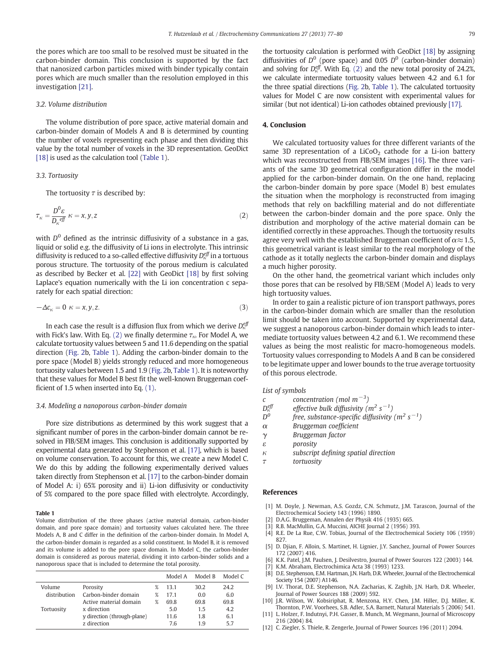<span id="page-2-0"></span>the pores which are too small to be resolved must be situated in the carbon-binder domain. This conclusion is supported by the fact that nanosized carbon particles mixed with binder typically contain pores which are much smaller than the resolution employed in this investigation [\[21\]](#page-3-0).

#### 3.2. Volume distribution

The volume distribution of pore space, active material domain and carbon-binder domain of Models A and B is determined by counting the number of voxels representing each phase and then dividing this value by the total number of voxels in the 3D representation. GeoDict [\[18\]](#page-3-0) is used as the calculation tool (Table 1).

#### 3.3. Tortuosity

The tortuosity  $\tau$  is described by:

$$
\tau_{\kappa} = \frac{D^0 \varepsilon}{D_{\kappa}^{\text{eff}}} \kappa = x, y, z \tag{2}
$$

with  $D<sup>0</sup>$  defined as the intrinsic diffusivity of a substance in a gas, liquid or solid e.g. the diffusivity of Li ions in electrolyte. This intrinsic diffusivity is reduced to a so-called effective diffusivity  $D_\kappa^{eff}$  in a tortuous porous structure. The tortuosity of the porous medium is calculated as described by Becker et al. [\[22\]](#page-3-0) with GeoDict [\[18\]](#page-3-0) by first solving Laplace's equation numerically with the Li ion concentration c separately for each spatial direction:

$$
-\Delta c_{\kappa} = 0 \quad \kappa = x, y, z. \tag{3}
$$

In each case the result is a diffusion flux from which we derive  $D_\kappa^{e\bar{g}}$ with Fick's law. With Eq. (2) we finally determine  $\tau_{\kappa}$ . For Model A, we calculate tortuosity values between 5 and 11.6 depending on the spatial direction ([Fig. 2](#page-1-0)b, Table 1). Adding the carbon-binder domain to the pore space (Model B) yields strongly reduced and more homogeneous tortuosity values between 1.5 and 1.9 [\(Fig. 2](#page-1-0)b, Table 1). It is noteworthy that these values for Model B best fit the well-known Bruggeman coefficient of 1.5 when inserted into Eq. [\(1\).](#page-0-0)

#### 3.4. Modeling a nanoporous carbon-binder domain

Pore size distributions as determined by this work suggest that a significant number of pores in the carbon-binder domain cannot be resolved in FIB/SEM images. This conclusion is additionally supported by experimental data generated by Stephenson et al. [\[17\]](#page-3-0), which is based on volume conservation. To account for this, we create a new Model C. We do this by adding the following experimentally derived values taken directly from Stephenson et al. [\[17\]](#page-3-0) to the carbon-binder domain of Model A: i) 65% porosity and ii) Li-ion diffusivity or conductivity of 5% compared to the pore space filled with electrolyte. Accordingly,

#### Table 1

Volume distribution of the three phases (active material domain, carbon-binder domain, and pore space domain) and tortuosity values calculated here. The three Models A, B and C differ in the definition of the carbon-binder domain. In Model A, the carbon-binder domain is regarded as a solid constituent. In Model B, it is removed and its volume is added to the pore space domain. In Model C, the carbon-binder domain is considered as porous material, dividing it into carbon-binder solids and a nanoporous space that is included to determine the total porosity.

|              |                             |      | Model A | Model B | Model C |
|--------------|-----------------------------|------|---------|---------|---------|
| Volume       | Porosity                    | %    | 13.1    | 30.2    | 24.2    |
| distribution | Carbon-binder domain        | $\%$ | 171     | 0.0     | 6.0     |
|              | Active material domain      | $\%$ | 69.8    | 69.8    | 69.8    |
| Tortuosity   | x direction                 |      | 5.0     | 1.5     | 4.2     |
|              | y direction (through-plane) |      | 11.6    | 1.8     | 6.1     |
|              | z direction                 |      | 76      | 1 Q     | 57      |

the tortuosity calculation is performed with GeoDict [\[18\]](#page-3-0) by assigning diffusivities of  $D^0$  (pore space) and 0.05  $D^0$  (carbon-binder domain) and solving for  $D_{\kappa}^{eff}$ . With Eq. (2) and the new total porosity of 24.2%, we calculate intermediate tortuosity values between 4.2 and 6.1 for the three spatial directions [\(Fig. 2](#page-1-0)b, Table 1). The calculated tortuosity values for Model C are now consistent with experimental values for similar (but not identical) Li-ion cathodes obtained previously [\[17\]](#page-3-0).

#### 4. Conclusion

We calculated tortuosity values for three different variants of the same 3D representation of a  $LiCoO<sub>2</sub>$  cathode for a Li-ion battery which was reconstructed from FIB/SEM images [\[16\].](#page-3-0) The three variants of the same 3D geometrical configuration differ in the model applied for the carbon-binder domain. On the one hand, replacing the carbon-binder domain by pore space (Model B) best emulates the situation when the morphology is reconstructed from imaging methods that rely on backfilling material and do not differentiate between the carbon-binder domain and the pore space. Only the distribution and morphology of the active material domain can be identified correctly in these approaches. Though the tortuosity results agree very well with the established Bruggeman coefficient of  $\alpha \approx 1.5$ , this geometrical variant is least similar to the real morphology of the cathode as it totally neglects the carbon-binder domain and displays a much higher porosity.

On the other hand, the geometrical variant which includes only those pores that can be resolved by FIB/SEM (Model A) leads to very high tortuosity values.

In order to gain a realistic picture of ion transport pathways, pores in the carbon-binder domain which are smaller than the resolution limit should be taken into account. Supported by experimental data, we suggest a nanoporous carbon-binder domain which leads to intermediate tortuosity values between 4.2 and 6.1. We recommend these values as being the most realistic for macro-homogeneous models. Tortuosity values corresponding to Models A and B can be considered to be legitimate upper and lower bounds to the true average tortuosity of this porous electrode.

#### List of symbols

- c concentration (mol  $m^{-3}$ )
- $D_{\kappa}^{eff}$ <br> $D^0$  $\epsilon_{\kappa}^{\rm eff}$  effective bulk diffusivity (m<sup>2</sup> s<sup>-1</sup>)
- $D^{0}$  free, substance-specific diffusivity (m<sup>2</sup> s<sup>-1</sup>)
- α Bruggeman coefficient
- γ Bruggeman factor
- ε porosity
- κ subscript defining spatial direction
- τ tortuosity

#### References

- [1] M. Doyle, J. Newman, A.S. Gozdz, C.N. Schmutz, J.M. Tarascon, Journal of the Electrochemical Society 143 (1996) 1890.
- [2] D.A.G. Bruggeman, Annalen der Physik 416 (1935) 665.
- [3] R.B. MacMullin, G.A. Muccini, AICHE Journal 2 (1956) 393.<br>[4] R.E. De La Rue, C.W. Tobias, Journal of the Electrochemic
- R.E. De La Rue, C.W. Tobias, Journal of the Electrochemical Society 106 (1959) 827.
- [5] D. Djian, F. Alloin, S. Martinet, H. Lignier, J.Y. Sanchez, Journal of Power Sources 172 (2007) 416.
- [6] K.K. Patel, J.M. Paulsen, J. Desilvestro, Journal of Power Sources 122 (2003) 144.
- K.M. Abraham, Electrochimica Acta 38 (1993) 1233.
- [8] D.E. Stephenson, E.M. Hartman, J.N. Harb, D.R. Wheeler, Journal of the Electrochemical Society 154 (2007) A1146.
- [9] I.V. Thorat, D.E. Stephenson, N.A. Zacharias, K. Zaghib, J.N. Harb, D.R. Wheeler, Journal of Power Sources 188 (2009) 592.
- [10] J.R. Wilson, W. Kobsiriphat, R. Menzona, H.Y. Chen, J.M. Hiller, D.J. Miller, K. Thornton, P.W. Voorhees, S.B. Adler, S.A. Barnett, Natural Materials 5 (2006) 541.
- [11] L. Holzer, F. Indutnyi, P.H. Gasser, B. Munch, M. Wegmann, Journal of Microscopy 216 (2004) 84.
- [12] C. Ziegler, S. Thiele, R. Zengerle, Journal of Power Sources 196 (2011) 2094.